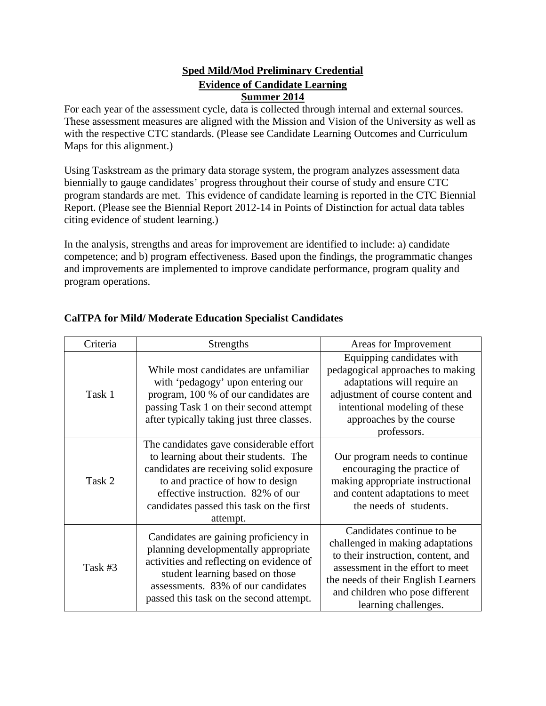#### **Sped Mild/Mod Preliminary Credential Evidence of Candidate Learning Summer 2014**

For each year of the assessment cycle, data is collected through internal and external sources. These assessment measures are aligned with the Mission and Vision of the University as well as with the respective CTC standards. (Please see Candidate Learning Outcomes and Curriculum Maps for this alignment.)

Using Taskstream as the primary data storage system, the program analyzes assessment data biennially to gauge candidates' progress throughout their course of study and ensure CTC program standards are met. This evidence of candidate learning is reported in the CTC Biennial Report. (Please see the Biennial Report 2012-14 in Points of Distinction for actual data tables citing evidence of student learning.)

In the analysis, strengths and areas for improvement are identified to include: a) candidate competence; and b) program effectiveness. Based upon the findings, the programmatic changes and improvements are implemented to improve candidate performance, program quality and program operations.

| Criteria | <b>Strengths</b>                                                                                                                                                                                                                                             | Areas for Improvement                                                                                                                                                                                                                     |
|----------|--------------------------------------------------------------------------------------------------------------------------------------------------------------------------------------------------------------------------------------------------------------|-------------------------------------------------------------------------------------------------------------------------------------------------------------------------------------------------------------------------------------------|
| Task 1   | While most candidates are unfamiliar<br>with 'pedagogy' upon entering our<br>program, 100 % of our candidates are<br>passing Task 1 on their second attempt<br>after typically taking just three classes.                                                    | Equipping candidates with<br>pedagogical approaches to making<br>adaptations will require an<br>adjustment of course content and<br>intentional modeling of these<br>approaches by the course<br>professors.                              |
| Task 2   | The candidates gave considerable effort<br>to learning about their students. The<br>candidates are receiving solid exposure<br>to and practice of how to design<br>effective instruction. 82% of our<br>candidates passed this task on the first<br>attempt. | Our program needs to continue.<br>encouraging the practice of<br>making appropriate instructional<br>and content adaptations to meet<br>the needs of students.                                                                            |
| Task #3  | Candidates are gaining proficiency in<br>planning developmentally appropriate<br>activities and reflecting on evidence of<br>student learning based on those<br>assessments. 83% of our candidates<br>passed this task on the second attempt.                | Candidates continue to be<br>challenged in making adaptations<br>to their instruction, content, and<br>assessment in the effort to meet<br>the needs of their English Learners<br>and children who pose different<br>learning challenges. |

#### **CalTPA for Mild/ Moderate Education Specialist Candidates**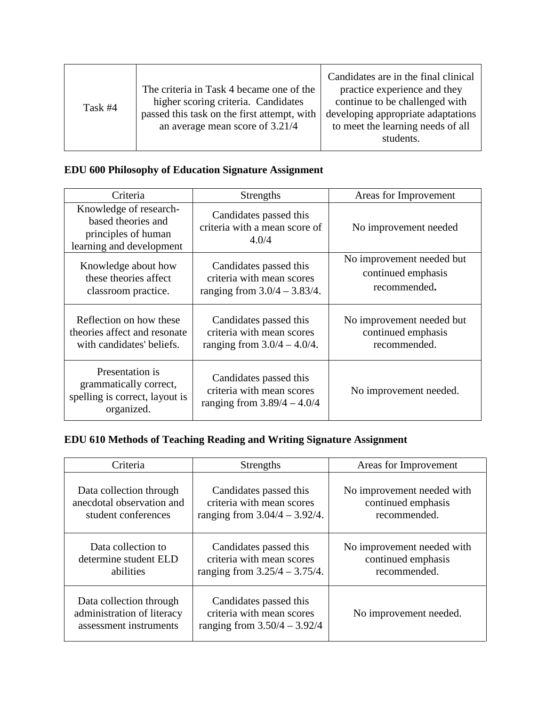| Task #4 | The criteria in Task 4 became one of the<br>higher scoring criteria. Candidates<br>passed this task on the first attempt, with<br>an average mean score of 3.21/4 | Candidates are in the final clinical<br>practice experience and they<br>continue to be challenged with<br>developing appropriate adaptations<br>to meet the learning needs of all<br>students. |
|---------|-------------------------------------------------------------------------------------------------------------------------------------------------------------------|------------------------------------------------------------------------------------------------------------------------------------------------------------------------------------------------|
|---------|-------------------------------------------------------------------------------------------------------------------------------------------------------------------|------------------------------------------------------------------------------------------------------------------------------------------------------------------------------------------------|

## **EDU 600 Philosophy of Education Signature Assignment**

| Criteria                                                                                        | Strengths                                                                              | Areas for Improvement                                           |
|-------------------------------------------------------------------------------------------------|----------------------------------------------------------------------------------------|-----------------------------------------------------------------|
| Knowledge of research-<br>based theories and<br>principles of human<br>learning and development | Candidates passed this<br>criteria with a mean score of<br>4.0/4                       | No improvement needed                                           |
| Knowledge about how<br>these theories affect<br>classroom practice.                             | Candidates passed this<br>criteria with mean scores<br>ranging from $3.0/4 - 3.83/4$ . | No improvement needed but<br>continued emphasis<br>recommended. |
| Reflection on how these<br>theories affect and resonate<br>with candidates' beliefs.            | Candidates passed this<br>criteria with mean scores<br>ranging from $3.0/4 - 4.0/4$ .  | No improvement needed but<br>continued emphasis<br>recommended. |
| Presentation is<br>grammatically correct,<br>spelling is correct, layout is<br>organized.       | Candidates passed this<br>criteria with mean scores<br>ranging from $3.89/4 - 4.0/4$   | No improvement needed.                                          |

## **EDU 610 Methods of Teaching Reading and Writing Signature Assignment**

| Criteria                                                                        | <b>Strengths</b>                                                                      | Areas for Improvement      |
|---------------------------------------------------------------------------------|---------------------------------------------------------------------------------------|----------------------------|
| Data collection through                                                         | Candidates passed this                                                                | No improvement needed with |
| anecdotal observation and                                                       | criteria with mean scores                                                             | continued emphasis         |
| student conferences                                                             | ranging from $3.04/4 - 3.92/4$ .                                                      | recommended.               |
| Data collection to                                                              | Candidates passed this                                                                | No improvement needed with |
| determine student ELD                                                           | criteria with mean scores                                                             | continued emphasis         |
| abilities                                                                       | ranging from $3.25/4 - 3.75/4$ .                                                      | recommended.               |
| Data collection through<br>administration of literacy<br>assessment instruments | Candidates passed this<br>criteria with mean scores<br>ranging from $3.50/4 - 3.92/4$ | No improvement needed.     |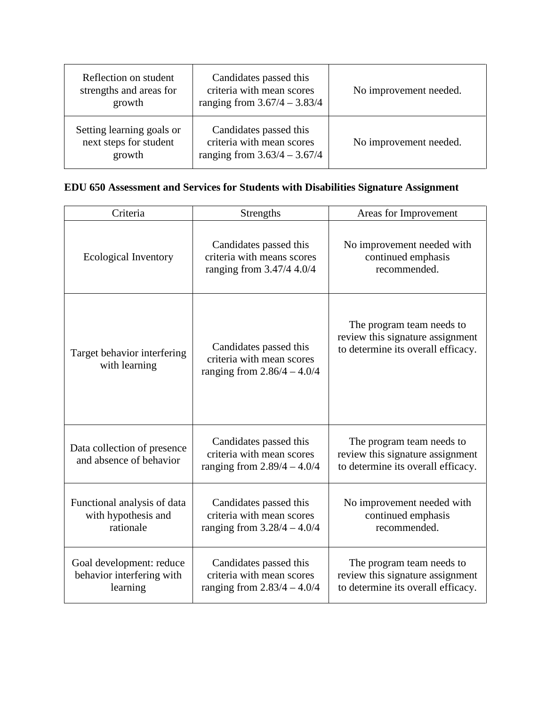| Reflection on student<br>strengths and areas for<br>growth    | Candidates passed this<br>criteria with mean scores<br>ranging from $3.67/4 - 3.83/4$ | No improvement needed. |
|---------------------------------------------------------------|---------------------------------------------------------------------------------------|------------------------|
| Setting learning goals or<br>next steps for student<br>growth | Candidates passed this<br>criteria with mean scores<br>ranging from $3.63/4 - 3.67/4$ | No improvement needed. |

# **EDU 650 Assessment and Services for Students with Disabilities Signature Assignment**

| Criteria                                                          | <b>Strengths</b>                                                                     | Areas for Improvement                                                                               |
|-------------------------------------------------------------------|--------------------------------------------------------------------------------------|-----------------------------------------------------------------------------------------------------|
| Ecological Inventory                                              | Candidates passed this<br>criteria with means scores<br>ranging from 3.47/4 4.0/4    | No improvement needed with<br>continued emphasis<br>recommended.                                    |
| Target behavior interfering<br>with learning                      | Candidates passed this<br>criteria with mean scores<br>ranging from $2.86/4 - 4.0/4$ | The program team needs to<br>review this signature assignment<br>to determine its overall efficacy. |
| Data collection of presence<br>and absence of behavior            | Candidates passed this<br>criteria with mean scores<br>ranging from $2.89/4 - 4.0/4$ | The program team needs to<br>review this signature assignment<br>to determine its overall efficacy. |
| Functional analysis of data<br>with hypothesis and<br>rationale   | Candidates passed this<br>criteria with mean scores<br>ranging from $3.28/4 - 4.0/4$ | No improvement needed with<br>continued emphasis<br>recommended.                                    |
| Goal development: reduce<br>behavior interfering with<br>learning | Candidates passed this<br>criteria with mean scores<br>ranging from $2.83/4 - 4.0/4$ | The program team needs to<br>review this signature assignment<br>to determine its overall efficacy. |